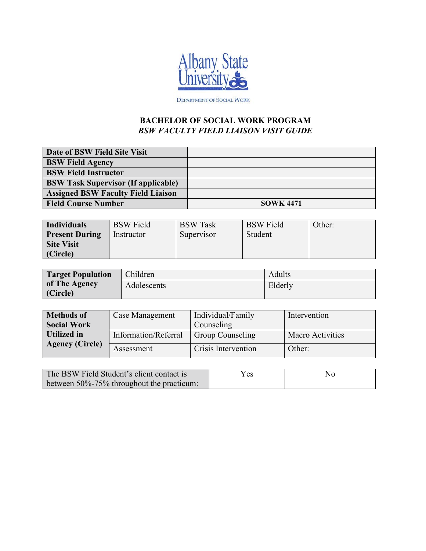

DEPARTMENT OF SOCIAL WORK

## **BACHELOR OF SOCIAL WORK PROGRAM**  *BSW FACULTY FIELD LIAISON VISIT GUIDE*

| Date of BSW Field Site Visit               |                  |
|--------------------------------------------|------------------|
| <b>BSW Field Agency</b>                    |                  |
| <b>BSW Field Instructor</b>                |                  |
| <b>BSW Task Supervisor (If applicable)</b> |                  |
| <b>Assigned BSW Faculty Field Liaison</b>  |                  |
| <b>Field Course Number</b>                 | <b>SOWK 4471</b> |

| <b>Individuals</b>    | <b>BSW</b> Field | <b>BSW</b> Task | <b>BSW</b> Field | Other: |
|-----------------------|------------------|-----------------|------------------|--------|
| <b>Present During</b> | Instructor       | Supervisor      | Student          |        |
| <b>Site Visit</b>     |                  |                 |                  |        |
| (Circle)              |                  |                 |                  |        |

| <b>Target Population</b> | Children    | Adults  |
|--------------------------|-------------|---------|
| of The Agency            | Adolescents | Elderly |
| (Circle)                 |             |         |

| <b>Methods of</b><br><b>Social Work</b> | Case Management      | Individual/Family<br>Counseling | Intervention            |
|-----------------------------------------|----------------------|---------------------------------|-------------------------|
| Utilized in                             | Information/Referral | <b>Group Counseling</b>         | <b>Macro Activities</b> |
| <b>Agency (Circle)</b>                  | Assessment           | Crisis Intervention             | Other:                  |

| The BSW Field Student's client contact is       | Yes | No |
|-------------------------------------------------|-----|----|
| between $50\% - 75\%$ throughout the practicum: |     |    |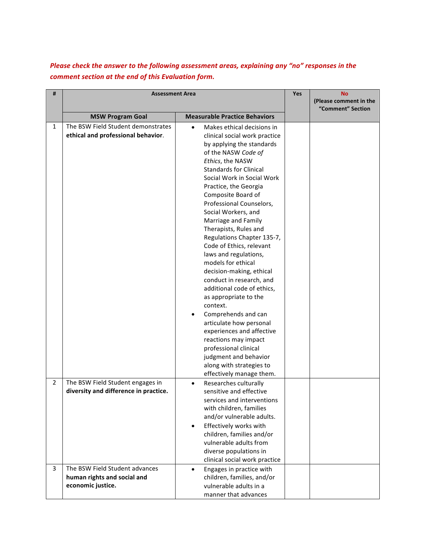## Please check the answer to the following assessment areas, explaining any "no" responses in the *comment section at the end of this Evaluation form.*

| #              | <b>Assessment Area</b>                |                                       |  | <b>No</b>                                   |
|----------------|---------------------------------------|---------------------------------------|--|---------------------------------------------|
|                |                                       |                                       |  | (Please comment in the<br>"Comment" Section |
|                | <b>MSW Program Goal</b>               | <b>Measurable Practice Behaviors</b>  |  |                                             |
| $\mathbf{1}$   | The BSW Field Student demonstrates    | Makes ethical decisions in            |  |                                             |
|                | ethical and professional behavior.    | clinical social work practice         |  |                                             |
|                |                                       | by applying the standards             |  |                                             |
|                |                                       | of the NASW Code of                   |  |                                             |
|                |                                       | Ethics, the NASW                      |  |                                             |
|                |                                       | <b>Standards for Clinical</b>         |  |                                             |
|                |                                       | Social Work in Social Work            |  |                                             |
|                |                                       | Practice, the Georgia                 |  |                                             |
|                |                                       | Composite Board of                    |  |                                             |
|                |                                       | Professional Counselors,              |  |                                             |
|                |                                       | Social Workers, and                   |  |                                             |
|                |                                       | Marriage and Family                   |  |                                             |
|                |                                       | Therapists, Rules and                 |  |                                             |
|                |                                       | Regulations Chapter 135-7,            |  |                                             |
|                |                                       | Code of Ethics, relevant              |  |                                             |
|                |                                       | laws and regulations,                 |  |                                             |
|                |                                       | models for ethical                    |  |                                             |
|                |                                       | decision-making, ethical              |  |                                             |
|                |                                       | conduct in research, and              |  |                                             |
|                |                                       | additional code of ethics,            |  |                                             |
|                |                                       | as appropriate to the                 |  |                                             |
|                |                                       | context.                              |  |                                             |
|                |                                       | Comprehends and can                   |  |                                             |
|                |                                       | articulate how personal               |  |                                             |
|                |                                       | experiences and affective             |  |                                             |
|                |                                       | reactions may impact                  |  |                                             |
|                |                                       | professional clinical                 |  |                                             |
|                |                                       | judgment and behavior                 |  |                                             |
|                |                                       | along with strategies to              |  |                                             |
|                |                                       | effectively manage them.              |  |                                             |
| $\overline{2}$ | The BSW Field Student engages in      | Researches culturally<br>$\bullet$    |  |                                             |
|                | diversity and difference in practice. | sensitive and effective               |  |                                             |
|                |                                       | services and interventions            |  |                                             |
|                |                                       | with children, families               |  |                                             |
|                |                                       | and/or vulnerable adults.             |  |                                             |
|                |                                       | Effectively works with<br>$\bullet$   |  |                                             |
|                |                                       | children, families and/or             |  |                                             |
|                |                                       | vulnerable adults from                |  |                                             |
|                |                                       | diverse populations in                |  |                                             |
|                |                                       | clinical social work practice         |  |                                             |
| 3              | The BSW Field Student advances        | Engages in practice with<br>$\bullet$ |  |                                             |
|                | human rights and social and           | children, families, and/or            |  |                                             |
|                | economic justice.                     | vulnerable adults in a                |  |                                             |
|                |                                       | manner that advances                  |  |                                             |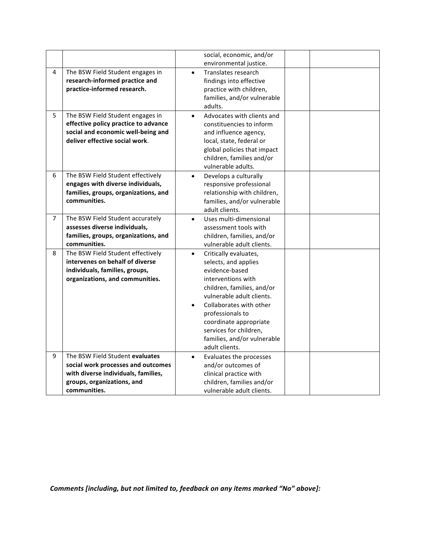|                |                                      |           | social, economic, and/or    |  |
|----------------|--------------------------------------|-----------|-----------------------------|--|
|                |                                      |           | environmental justice.      |  |
| 4              | The BSW Field Student engages in     | $\bullet$ | Translates research         |  |
|                | research-informed practice and       |           | findings into effective     |  |
|                | practice-informed research.          |           | practice with children,     |  |
|                |                                      |           | families, and/or vulnerable |  |
|                |                                      |           | adults.                     |  |
| 5              | The BSW Field Student engages in     | $\bullet$ | Advocates with clients and  |  |
|                | effective policy practice to advance |           | constituencies to inform    |  |
|                | social and economic well-being and   |           | and influence agency,       |  |
|                | deliver effective social work.       |           | local, state, federal or    |  |
|                |                                      |           | global policies that impact |  |
|                |                                      |           | children, families and/or   |  |
|                |                                      |           | vulnerable adults.          |  |
| 6              | The BSW Field Student effectively    | $\bullet$ | Develops a culturally       |  |
|                | engages with diverse individuals,    |           | responsive professional     |  |
|                | families, groups, organizations, and |           | relationship with children, |  |
|                | communities.                         |           | families, and/or vulnerable |  |
|                |                                      |           | adult clients.              |  |
| $\overline{7}$ | The BSW Field Student accurately     | $\bullet$ | Uses multi-dimensional      |  |
|                | assesses diverse individuals,        |           | assessment tools with       |  |
|                | families, groups, organizations, and |           | children, families, and/or  |  |
|                | communities.                         |           | vulnerable adult clients.   |  |
| 8              | The BSW Field Student effectively    | $\bullet$ | Critically evaluates,       |  |
|                | intervenes on behalf of diverse      |           | selects, and applies        |  |
|                | individuals, families, groups,       |           | evidence-based              |  |
|                | organizations, and communities.      |           | interventions with          |  |
|                |                                      |           | children, families, and/or  |  |
|                |                                      |           | vulnerable adult clients.   |  |
|                |                                      |           | Collaborates with other     |  |
|                |                                      |           | professionals to            |  |
|                |                                      |           | coordinate appropriate      |  |
|                |                                      |           | services for children,      |  |
|                |                                      |           | families, and/or vulnerable |  |
|                |                                      |           | adult clients.              |  |
| 9              | The BSW Field Student evaluates      | $\bullet$ | Evaluates the processes     |  |
|                | social work processes and outcomes   |           | and/or outcomes of          |  |
|                | with diverse individuals, families,  |           | clinical practice with      |  |
|                | groups, organizations, and           |           | children, families and/or   |  |
|                | communities.                         |           | vulnerable adult clients.   |  |

Comments [including, but not limited to, feedback on any items marked "No" above]: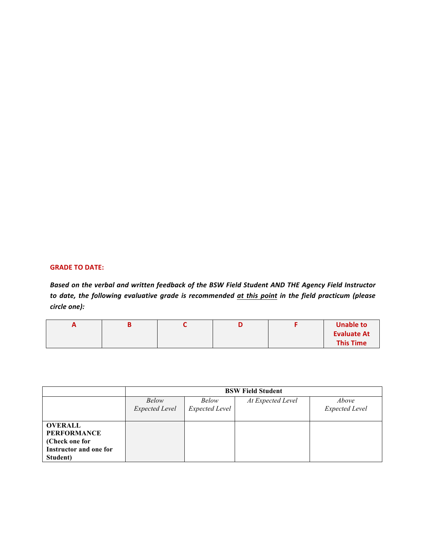## **GRADE TO DATE:**

Based on the verbal and written feedback of the BSW Field Student AND THE Agency Field Instructor to date, the following evaluative grade is recommended at this point in the field practicum (please *circle one):*

| $\sqrt{ }$ |  |  | <b>Unable to</b>   |
|------------|--|--|--------------------|
|            |  |  | <b>Evaluate At</b> |
|            |  |  | <b>This Time</b>   |

|                                                                                                     | <b>BSW Field Student</b>       |                         |                   |                                |  |
|-----------------------------------------------------------------------------------------------------|--------------------------------|-------------------------|-------------------|--------------------------------|--|
|                                                                                                     | Below<br><b>Expected Level</b> | Below<br>Expected Level | At Expected Level | Above<br><b>Expected Level</b> |  |
| <b>OVERALL</b><br><b>PERFORMANCE</b><br>(Check one for<br><b>Instructor and one for</b><br>Student) |                                |                         |                   |                                |  |